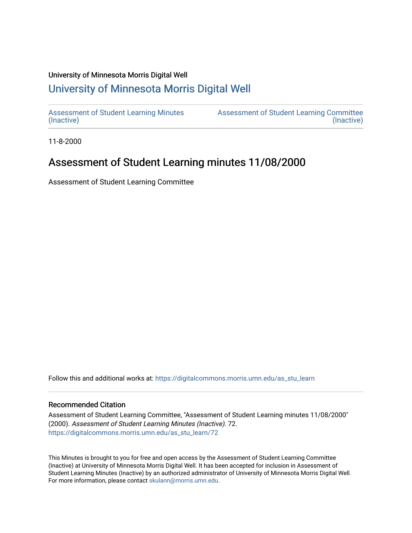#### University of Minnesota Morris Digital Well

# [University of Minnesota Morris Digital Well](https://digitalcommons.morris.umn.edu/)

[Assessment of Student Learning Minutes](https://digitalcommons.morris.umn.edu/as_stu_learn)  [\(Inactive\)](https://digitalcommons.morris.umn.edu/as_stu_learn) 

[Assessment of Student Learning Committee](https://digitalcommons.morris.umn.edu/aslc)  [\(Inactive\)](https://digitalcommons.morris.umn.edu/aslc) 

11-8-2000

# Assessment of Student Learning minutes 11/08/2000

Assessment of Student Learning Committee

Follow this and additional works at: [https://digitalcommons.morris.umn.edu/as\\_stu\\_learn](https://digitalcommons.morris.umn.edu/as_stu_learn?utm_source=digitalcommons.morris.umn.edu%2Fas_stu_learn%2F72&utm_medium=PDF&utm_campaign=PDFCoverPages) 

#### Recommended Citation

Assessment of Student Learning Committee, "Assessment of Student Learning minutes 11/08/2000" (2000). Assessment of Student Learning Minutes (Inactive). 72. [https://digitalcommons.morris.umn.edu/as\\_stu\\_learn/72](https://digitalcommons.morris.umn.edu/as_stu_learn/72?utm_source=digitalcommons.morris.umn.edu%2Fas_stu_learn%2F72&utm_medium=PDF&utm_campaign=PDFCoverPages) 

This Minutes is brought to you for free and open access by the Assessment of Student Learning Committee (Inactive) at University of Minnesota Morris Digital Well. It has been accepted for inclusion in Assessment of Student Learning Minutes (Inactive) by an authorized administrator of University of Minnesota Morris Digital Well. For more information, please contact [skulann@morris.umn.edu](mailto:skulann@morris.umn.edu).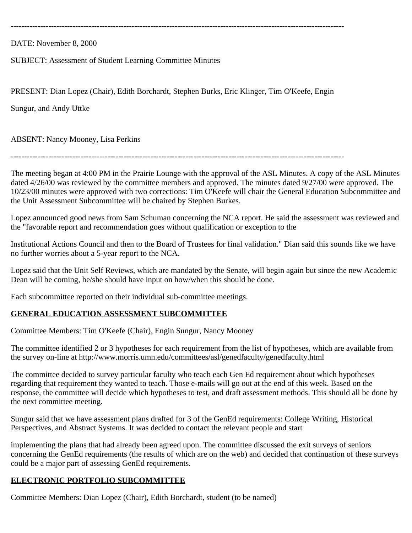----------------------------------------------------------------------------------------------------------------------------

DATE: November 8, 2000

SUBJECT: Assessment of Student Learning Committee Minutes

PRESENT: Dian Lopez (Chair), Edith Borchardt, Stephen Burks, Eric Klinger, Tim O'Keefe, Engin

Sungur, and Andy Uttke

ABSENT: Nancy Mooney, Lisa Perkins

----------------------------------------------------------------------------------------------------------------------------

The meeting began at 4:00 PM in the Prairie Lounge with the approval of the ASL Minutes. A copy of the ASL Minutes dated 4/26/00 was reviewed by the committee members and approved. The minutes dated 9/27/00 were approved. The 10/23/00 minutes were approved with two corrections: Tim O'Keefe will chair the General Education Subcommittee and the Unit Assessment Subcommittee will be chaired by Stephen Burkes.

Lopez announced good news from Sam Schuman concerning the NCA report. He said the assessment was reviewed and the "favorable report and recommendation goes without qualification or exception to the

Institutional Actions Council and then to the Board of Trustees for final validation." Dian said this sounds like we have no further worries about a 5-year report to the NCA.

Lopez said that the Unit Self Reviews, which are mandated by the Senate, will begin again but since the new Academic Dean will be coming, he/she should have input on how/when this should be done.

Each subcommittee reported on their individual sub-committee meetings.

### **GENERAL EDUCATION ASSESSMENT SUBCOMMITTEE**

Committee Members: Tim O'Keefe (Chair), Engin Sungur, Nancy Mooney

The committee identified 2 or 3 hypotheses for each requirement from the list of hypotheses, which are available from the survey on-line at http://www.morris.umn.edu/committees/asl/genedfaculty/genedfaculty.html

The committee decided to survey particular faculty who teach each Gen Ed requirement about which hypotheses regarding that requirement they wanted to teach. Those e-mails will go out at the end of this week. Based on the response, the committee will decide which hypotheses to test, and draft assessment methods. This should all be done by the next committee meeting.

Sungur said that we have assessment plans drafted for 3 of the GenEd requirements: College Writing, Historical Perspectives, and Abstract Systems. It was decided to contact the relevant people and start

implementing the plans that had already been agreed upon. The committee discussed the exit surveys of seniors concerning the GenEd requirements (the results of which are on the web) and decided that continuation of these surveys could be a major part of assessing GenEd requirements.

### **ELECTRONIC PORTFOLIO SUBCOMMITTEE**

Committee Members: Dian Lopez (Chair), Edith Borchardt, student (to be named)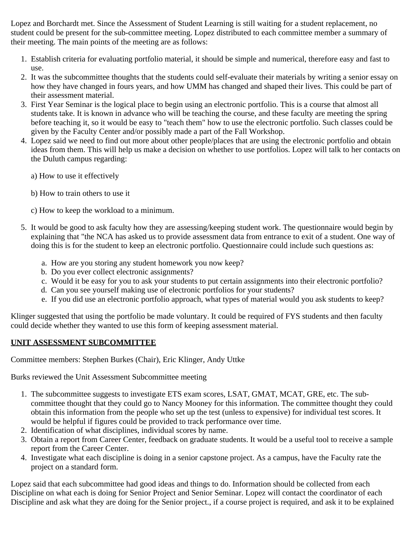Lopez and Borchardt met. Since the Assessment of Student Learning is still waiting for a student replacement, no student could be present for the sub-committee meeting. Lopez distributed to each committee member a summary of their meeting. The main points of the meeting are as follows:

- 1. Establish criteria for evaluating portfolio material, it should be simple and numerical, therefore easy and fast to use.
- 2. It was the subcommittee thoughts that the students could self-evaluate their materials by writing a senior essay on how they have changed in fours years, and how UMM has changed and shaped their lives. This could be part of their assessment material.
- 3. First Year Seminar is the logical place to begin using an electronic portfolio. This is a course that almost all students take. It is known in advance who will be teaching the course, and these faculty are meeting the spring before teaching it, so it would be easy to "teach them" how to use the electronic portfolio. Such classes could be given by the Faculty Center and/or possibly made a part of the Fall Workshop.
- 4. Lopez said we need to find out more about other people/places that are using the electronic portfolio and obtain ideas from them. This will help us make a decision on whether to use portfolios. Lopez will talk to her contacts on the Duluth campus regarding:
	- a) How to use it effectively
	- b) How to train others to use it
	- c) How to keep the workload to a minimum.
- 5. It would be good to ask faculty how they are assessing/keeping student work. The questionnaire would begin by explaining that "the NCA has asked us to provide assessment data from entrance to exit of a student. One way of doing this is for the student to keep an electronic portfolio. Questionnaire could include such questions as:
	- a. How are you storing any student homework you now keep?
	- b. Do you ever collect electronic assignments?
	- c. Would it be easy for you to ask your students to put certain assignments into their electronic portfolio?
	- d. Can you see yourself making use of electronic portfolios for your students?
	- e. If you did use an electronic portfolio approach, what types of material would you ask students to keep?

Klinger suggested that using the portfolio be made voluntary. It could be required of FYS students and then faculty could decide whether they wanted to use this form of keeping assessment material.

### **UNIT ASSESSMENT SUBCOMMITTEE**

Committee members: Stephen Burkes (Chair), Eric Klinger, Andy Uttke

Burks reviewed the Unit Assessment Subcommittee meeting

- 1. The subcommittee suggests to investigate ETS exam scores, LSAT, GMAT, MCAT, GRE, etc. The subcommittee thought that they could go to Nancy Mooney for this information. The committee thought they could obtain this information from the people who set up the test (unless to expensive) for individual test scores. It would be helpful if figures could be provided to track performance over time.
- 2. Identification of what disciplines, individual scores by name.
- 3. Obtain a report from Career Center, feedback on graduate students. It would be a useful tool to receive a sample report from the Career Center.
- 4. Investigate what each discipline is doing in a senior capstone project. As a campus, have the Faculty rate the project on a standard form.

Lopez said that each subcommittee had good ideas and things to do. Information should be collected from each Discipline on what each is doing for Senior Project and Senior Seminar. Lopez will contact the coordinator of each Discipline and ask what they are doing for the Senior project., if a course project is required, and ask it to be explained